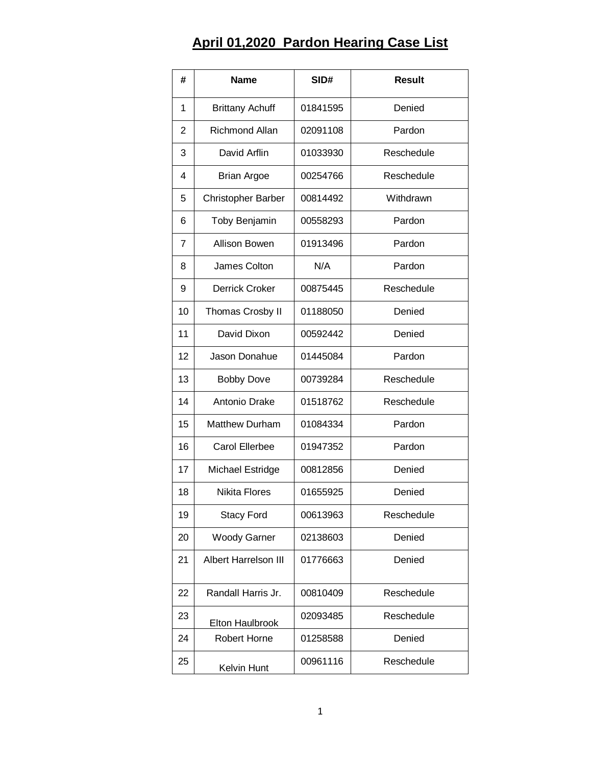## **April 01,2020 Pardon Hearing Case List**

| #              | <b>Name</b>                 | SID#     | <b>Result</b> |
|----------------|-----------------------------|----------|---------------|
| 1              | <b>Brittany Achuff</b>      | 01841595 | Denied        |
| $\overline{2}$ | <b>Richmond Allan</b>       | 02091108 | Pardon        |
| 3              | David Arflin                | 01033930 | Reschedule    |
| 4              | <b>Brian Argoe</b>          | 00254766 | Reschedule    |
| 5              | <b>Christopher Barber</b>   | 00814492 | Withdrawn     |
| 6              | Toby Benjamin               | 00558293 | Pardon        |
| 7              | <b>Allison Bowen</b>        | 01913496 | Pardon        |
| 8              | James Colton                | N/A      | Pardon        |
| 9              | Derrick Croker              | 00875445 | Reschedule    |
| 10             | Thomas Crosby II            | 01188050 | Denied        |
| 11             | David Dixon                 | 00592442 | Denied        |
| 12             | Jason Donahue               | 01445084 | Pardon        |
| 13             | <b>Bobby Dove</b>           | 00739284 | Reschedule    |
| 14             | Antonio Drake               | 01518762 | Reschedule    |
| 15             | <b>Matthew Durham</b>       | 01084334 | Pardon        |
| 16             | <b>Carol Ellerbee</b>       | 01947352 | Pardon        |
| 17             | Michael Estridge            | 00812856 | Denied        |
| 18             | <b>Nikita Flores</b>        | 01655925 | Denied        |
| 19             | <b>Stacy Ford</b>           | 00613963 | Reschedule    |
| 20             | <b>Woody Garner</b>         | 02138603 | Denied        |
| 21             | <b>Albert Harrelson III</b> | 01776663 | Denied        |
| 22             | Randall Harris Jr.          | 00810409 | Reschedule    |
| 23             | Elton Haulbrook             | 02093485 | Reschedule    |
| 24             | <b>Robert Horne</b>         | 01258588 | Denied        |
| 25             | Kelvin Hunt                 | 00961116 | Reschedule    |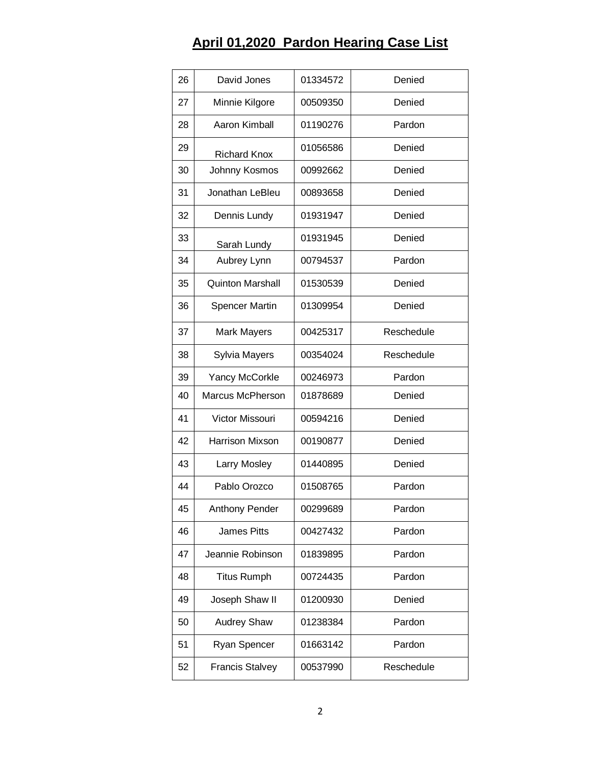## **April 01,2020 Pardon Hearing Case List**

| 26 | David Jones             | 01334572 | Denied     |
|----|-------------------------|----------|------------|
| 27 | Minnie Kilgore          | 00509350 | Denied     |
| 28 | Aaron Kimball           | 01190276 | Pardon     |
| 29 | <b>Richard Knox</b>     | 01056586 | Denied     |
| 30 | Johnny Kosmos           | 00992662 | Denied     |
| 31 | Jonathan LeBleu         | 00893658 | Denied     |
| 32 | Dennis Lundy            | 01931947 | Denied     |
| 33 | Sarah Lundy             | 01931945 | Denied     |
| 34 | Aubrey Lynn             | 00794537 | Pardon     |
| 35 | <b>Quinton Marshall</b> | 01530539 | Denied     |
| 36 | <b>Spencer Martin</b>   | 01309954 | Denied     |
| 37 | <b>Mark Mayers</b>      | 00425317 | Reschedule |
| 38 | Sylvia Mayers           | 00354024 | Reschedule |
| 39 | Yancy McCorkle          | 00246973 | Pardon     |
| 40 | Marcus McPherson        | 01878689 | Denied     |
| 41 | Victor Missouri         | 00594216 | Denied     |
| 42 | <b>Harrison Mixson</b>  | 00190877 | Denied     |
| 43 | Larry Mosley            | 01440895 | Denied     |
| 44 | Pablo Orozco            | 01508765 | Pardon     |
| 45 | Anthony Pender          | 00299689 | Pardon     |
| 46 | <b>James Pitts</b>      | 00427432 | Pardon     |
| 47 | Jeannie Robinson        | 01839895 | Pardon     |
| 48 | <b>Titus Rumph</b>      | 00724435 | Pardon     |
| 49 | Joseph Shaw II          | 01200930 | Denied     |
| 50 | <b>Audrey Shaw</b>      | 01238384 | Pardon     |
| 51 | Ryan Spencer            | 01663142 | Pardon     |
| 52 | <b>Francis Stalvey</b>  | 00537990 | Reschedule |